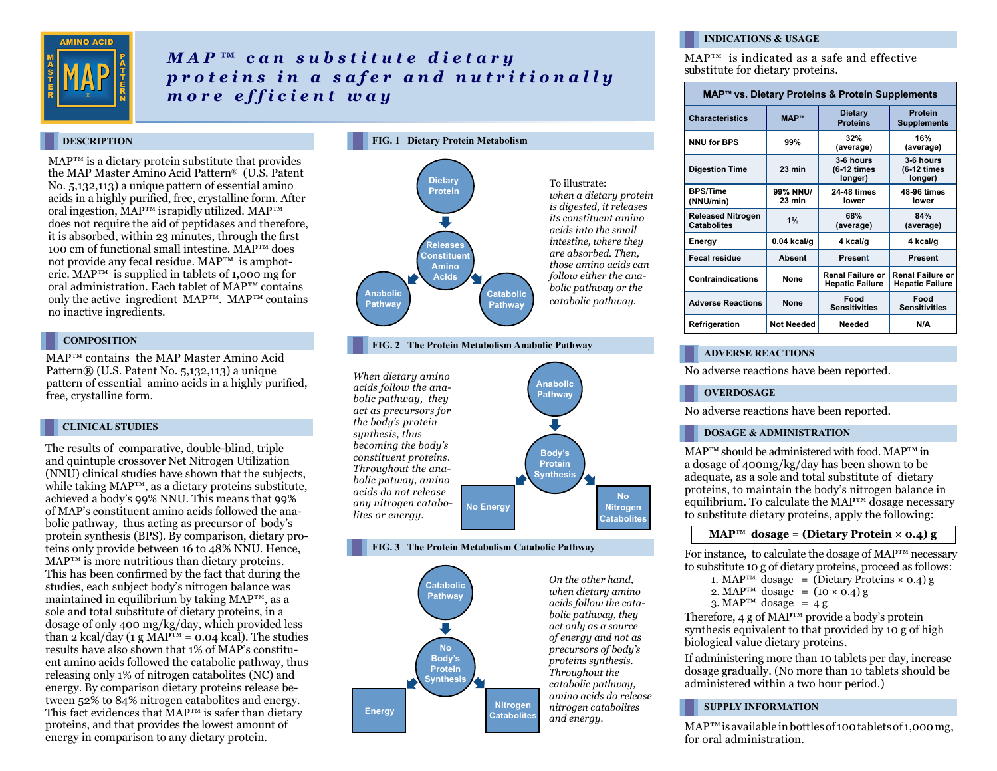

# *MAP™ can substitute dietary proteins in a safer and nutritionally m o r e e f f i c i e n t w a y*

#### **DESCRIPTION**

 $MAP^{TM}$  is a dietary protein substitute that provides the MAP Master Amino Acid Pattern® (U.S. Patent No. 5,132,113) a unique pattern of essential amino acids in a highly purified, free, crystalline form. After oral ingestion, MAP™ is rapidly utilized. MAP™ does not require the aid of peptidases and therefore, it is absorbed, within 23 minutes, through the first 100 cm of functional small intestine.  $M\overline{A}P^{TM}$  does not provide any fecal residue. MAP™ is amphoteric.  $MAP^{TM}$  is supplied in tablets of 1,000 mg for oral administration. Each tablet of MAP™ contains only the active ingredient  $MAP^{TM}$ .  $MAP^{TM}$  contains no inactive ingredients.

#### **COMPOSITION**

MAP™ contains the MAP Master Amino Acid Pattern® (U.S. Patent No. 5,132,113) a unique pattern of essential amino acids in a highly purified, free, crystalline form.

#### **CLINICAL STUDIES**

The results of comparative, double-blind, triple and quintuple crossover Net Nitrogen Utilization (NNU) clinical studies have shown that the subjects, while taking MAP™, as a dietary proteins substitute, achieved a body's 99% NNU. This means that 99% of MAP's constituent amino acids followed the anabolic pathway, thus acting as precursor of body's protein synthesis (BPS). By comparison, dietary proteins only provide between 16 to 48% NNU. Hence, MAP™ is more nutritious than dietary proteins. This has been confirmed by the fact that during the studies, each subject body's nitrogen balance was maintained in equilibrium by taking MAP™, as a sole and total substitute of dietary proteins, in a dosage of only 400 mg/kg/day, which provided less than 2 kcal/day (1 g MAP<sup>TM</sup> = 0.04 kcal). The studies results have also shown that 1% of MAP's constituent amino acids followed the catabolic pathway, thus releasing only 1% of nitrogen catabolites (NC) and energy. By comparison dietary proteins release between 52% to 84% nitrogen catabolites and energy. This fact evidences that MAP™ is safer than dietary proteins, and that provides the lowest amount of energy in comparison to any dietary protein.



**FIG. 2 The Protein Metabolism Anabolic Pathway**



#### **FIG. 3 The Protein Metabolism Catabolic Pathway**



#### **INDICATIONS & USAGE**

MAP™ is indicated as a safe and effective substitute for dietary proteins.

| MAP <sup>™</sup> vs. Dietary Proteins & Protein Supplements |                    |                                            |                                                   |
|-------------------------------------------------------------|--------------------|--------------------------------------------|---------------------------------------------------|
| <b>Characteristics</b>                                      | <b>MAP™</b>        | <b>Dietary</b><br><b>Proteins</b>          | Protein<br><b>Supplements</b>                     |
| <b>NNU for BPS</b>                                          | 99%                | 32%<br>(average)                           | 16%<br>(average)                                  |
| <b>Digestion Time</b>                                       | $23 \text{ min}$   | 3-6 hours<br>(6-12 times<br>longer)        | 3-6 hours<br>(6-12 times<br>longer)               |
| <b>BPS/Time</b><br>(NNU/min)                                | 99% NNU/<br>23 min | 24-48 times<br>lower                       | <b>48-96 times</b><br>lower                       |
| <b>Released Nitrogen</b><br><b>Catabolites</b>              | 1%                 | 68%<br>(average)                           | 84%<br>(average)                                  |
| Energy                                                      | $0.04$ kcal/g      | 4 kcal/g                                   | 4 kcal/g                                          |
| <b>Fecal residue</b>                                        | <b>Absent</b>      | <b>Present</b>                             | Present                                           |
| <b>Contraindications</b>                                    | None               | Renal Failure or<br><b>Hepatic Failure</b> | <b>Renal Failure or</b><br><b>Hepatic Failure</b> |
| <b>Adverse Reactions</b>                                    | <b>None</b>        | Food<br><b>Sensitivities</b>               | Food<br><b>Sensitivities</b>                      |
| Refrigeration                                               | <b>Not Needed</b>  | Needed                                     | N/A                                               |

#### **ADVERSE REACTIONS**

No adverse reactions have been reported.

#### **OVERDOSAGE**

No adverse reactions have been reported.

#### **DOSAGE & ADMINISTRATION**

MAP™ should be administered with food. MAP™ in a dosage of 400mg/kg/day has been shown to be adequate, as a sole and total substitute of dietary proteins, to maintain the body's nitrogen balance in equilibrium. To calculate the MAP™ dosage necessary to substitute dietary proteins, apply the following:

#### $MAP^{TM}$  dosage = (Dietary Protein  $\times$  0.4) g

For instance, to calculate the dosage of MAP™ necessary to substitute 10 g of dietary proteins, proceed as follows:

```
1. MAP<sup>TM</sup> dosage = (Dietary Proteins \times 0.4) g
```

```
2. MAP<sup>TM</sup> dosage = (10 \times 0.4) g
```

```
3. MAP<sup>TM</sup> dosage = 4 g
```
Therefore, 4 g of  $MAP^{rm}$  provide a body's protein synthesis equivalent to that provided by 10 g of high biological value dietary proteins.

If administering more than 10 tablets per day, increase dosage gradually. (No more than 10 tablets should be administered within a two hour period.)

#### **SUPPLY INFORMATION**

MAP™ is available in bottles of 100 tablets of 1,000 mg, for oral administration.